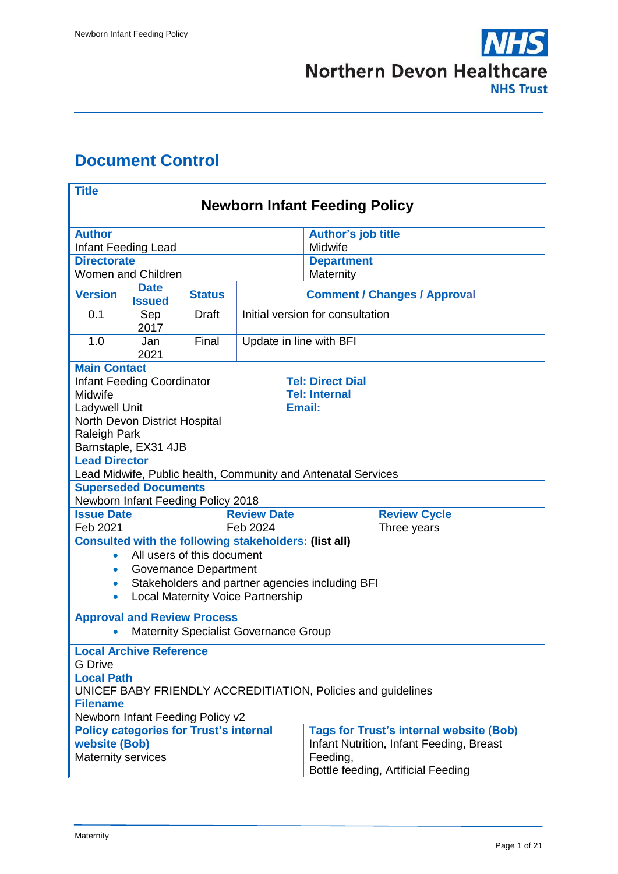

# <span id="page-0-0"></span>**Document Control**

| <b>Title</b>                                                                                                                        |                                                                                   |                                    |                                     |                                  |                         |  |
|-------------------------------------------------------------------------------------------------------------------------------------|-----------------------------------------------------------------------------------|------------------------------------|-------------------------------------|----------------------------------|-------------------------|--|
| <b>Newborn Infant Feeding Policy</b>                                                                                                |                                                                                   |                                    |                                     |                                  |                         |  |
| <b>Author</b><br><b>Author's job title</b>                                                                                          |                                                                                   |                                    |                                     |                                  |                         |  |
| Infant Feeding Lead                                                                                                                 |                                                                                   |                                    |                                     |                                  | Midwife                 |  |
| <b>Directorate</b>                                                                                                                  |                                                                                   |                                    |                                     |                                  | <b>Department</b>       |  |
| Women and Children<br>Maternity                                                                                                     |                                                                                   |                                    |                                     |                                  |                         |  |
| <b>Version</b>                                                                                                                      | <b>Date</b><br><b>Issued</b>                                                      | <b>Status</b>                      | <b>Comment / Changes / Approval</b> |                                  |                         |  |
| 0.1                                                                                                                                 | Sep<br>2017                                                                       | <b>Draft</b>                       |                                     | Initial version for consultation |                         |  |
| 1.0                                                                                                                                 | Jan<br>2021                                                                       | Final                              |                                     | Update in line with BFI          |                         |  |
| <b>Main Contact</b>                                                                                                                 |                                                                                   |                                    |                                     |                                  |                         |  |
|                                                                                                                                     | <b>Infant Feeding Coordinator</b>                                                 |                                    |                                     |                                  | <b>Tel: Direct Dial</b> |  |
| Midwife                                                                                                                             |                                                                                   |                                    |                                     |                                  | <b>Tel: Internal</b>    |  |
| Ladywell Unit                                                                                                                       | North Devon District Hospital                                                     |                                    |                                     |                                  | Email:                  |  |
| <b>Raleigh Park</b>                                                                                                                 |                                                                                   |                                    |                                     |                                  |                         |  |
|                                                                                                                                     | Barnstaple, EX31 4JB                                                              |                                    |                                     |                                  |                         |  |
| <b>Lead Director</b>                                                                                                                |                                                                                   |                                    |                                     |                                  |                         |  |
|                                                                                                                                     | Lead Midwife, Public health, Community and Antenatal Services                     |                                    |                                     |                                  |                         |  |
| <b>Superseded Documents</b>                                                                                                         |                                                                                   |                                    |                                     |                                  |                         |  |
|                                                                                                                                     |                                                                                   | Newborn Infant Feeding Policy 2018 |                                     |                                  |                         |  |
| <b>Review Date</b><br><b>Issue Date</b>                                                                                             |                                                                                   |                                    |                                     |                                  | <b>Review Cycle</b>     |  |
| Feb 2021<br>Feb 2024<br>Three years<br><b>Consulted with the following stakeholders: (list all)</b>                                 |                                                                                   |                                    |                                     |                                  |                         |  |
| $\bullet$                                                                                                                           |                                                                                   | All users of this document         |                                     |                                  |                         |  |
| $\bullet$                                                                                                                           |                                                                                   |                                    |                                     |                                  |                         |  |
| Governance Department<br>Stakeholders and partner agencies including BFI<br>$\bullet$                                               |                                                                                   |                                    |                                     |                                  |                         |  |
| <b>Local Maternity Voice Partnership</b><br>$\bullet$                                                                               |                                                                                   |                                    |                                     |                                  |                         |  |
|                                                                                                                                     |                                                                                   |                                    |                                     |                                  |                         |  |
| <b>Approval and Review Process</b><br><b>Maternity Specialist Governance Group</b>                                                  |                                                                                   |                                    |                                     |                                  |                         |  |
| <b>Local Archive Reference</b>                                                                                                      |                                                                                   |                                    |                                     |                                  |                         |  |
| <b>G</b> Drive                                                                                                                      |                                                                                   |                                    |                                     |                                  |                         |  |
| <b>Local Path</b>                                                                                                                   |                                                                                   |                                    |                                     |                                  |                         |  |
| UNICEF BABY FRIENDLY ACCREDITIATION, Policies and guidelines                                                                        |                                                                                   |                                    |                                     |                                  |                         |  |
| <b>Filename</b>                                                                                                                     |                                                                                   |                                    |                                     |                                  |                         |  |
| Newborn Infant Feeding Policy v2<br><b>Policy categories for Trust's internal</b><br><b>Tags for Trust's internal website (Bob)</b> |                                                                                   |                                    |                                     |                                  |                         |  |
| website (Bob)                                                                                                                       |                                                                                   |                                    |                                     |                                  |                         |  |
|                                                                                                                                     | Infant Nutrition, Infant Feeding, Breast<br><b>Maternity services</b><br>Feeding, |                                    |                                     |                                  |                         |  |
| Bottle feeding, Artificial Feeding                                                                                                  |                                                                                   |                                    |                                     |                                  |                         |  |
|                                                                                                                                     |                                                                                   |                                    |                                     |                                  |                         |  |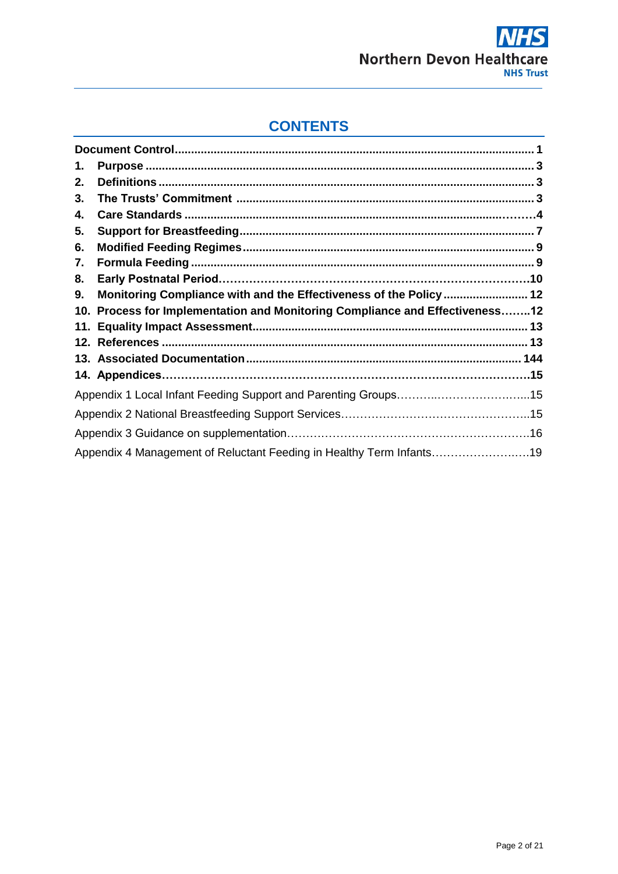

# **CONTENTS**

| 1. |                                                                              |  |
|----|------------------------------------------------------------------------------|--|
| 2. |                                                                              |  |
| 3. |                                                                              |  |
| 4. |                                                                              |  |
| 5. |                                                                              |  |
| 6. |                                                                              |  |
| 7. |                                                                              |  |
| 8. |                                                                              |  |
| 9. | Monitoring Compliance with and the Effectiveness of the Policy  12           |  |
|    |                                                                              |  |
|    | 10. Process for Implementation and Monitoring Compliance and Effectiveness12 |  |
|    |                                                                              |  |
|    |                                                                              |  |
|    |                                                                              |  |
|    |                                                                              |  |
|    |                                                                              |  |
|    |                                                                              |  |
|    |                                                                              |  |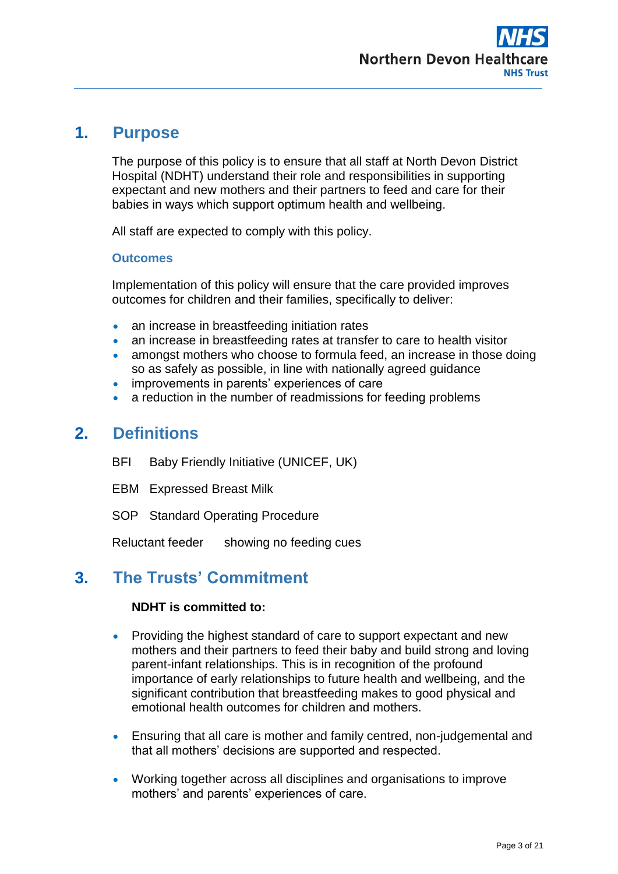

## <span id="page-2-0"></span>**1. Purpose**

The purpose of this policy is to ensure that all staff at North Devon District Hospital (NDHT) understand their role and responsibilities in supporting expectant and new mothers and their partners to feed and care for their babies in ways which support optimum health and wellbeing.

All staff are expected to comply with this policy.

### **Outcomes**

Implementation of this policy will ensure that the care provided improves outcomes for children and their families, specifically to deliver:

- an increase in breastfeeding initiation rates
- an increase in breastfeeding rates at transfer to care to health visitor
- amongst mothers who choose to formula feed, an increase in those doing so as safely as possible, in line with nationally agreed guidance
- improvements in parents' experiences of care
- a reduction in the number of readmissions for feeding problems

## <span id="page-2-1"></span>**2. Definitions**

- BFI Baby Friendly Initiative (UNICEF, UK)
- EBM Expressed Breast Milk
- SOP Standard Operating Procedure

Reluctant feeder showing no feeding cues

# <span id="page-2-2"></span>**3. The Trusts' Commitment**

## **NDHT is committed to:**

- Providing the highest standard of care to support expectant and new mothers and their partners to feed their baby and build strong and loving parent-infant relationships. This is in recognition of the profound importance of early relationships to future health and wellbeing, and the significant contribution that breastfeeding makes to good physical and emotional health outcomes for children and mothers.
- Ensuring that all care is mother and family centred, non-judgemental and that all mothers' decisions are supported and respected.
- Working together across all disciplines and organisations to improve mothers' and parents' experiences of care.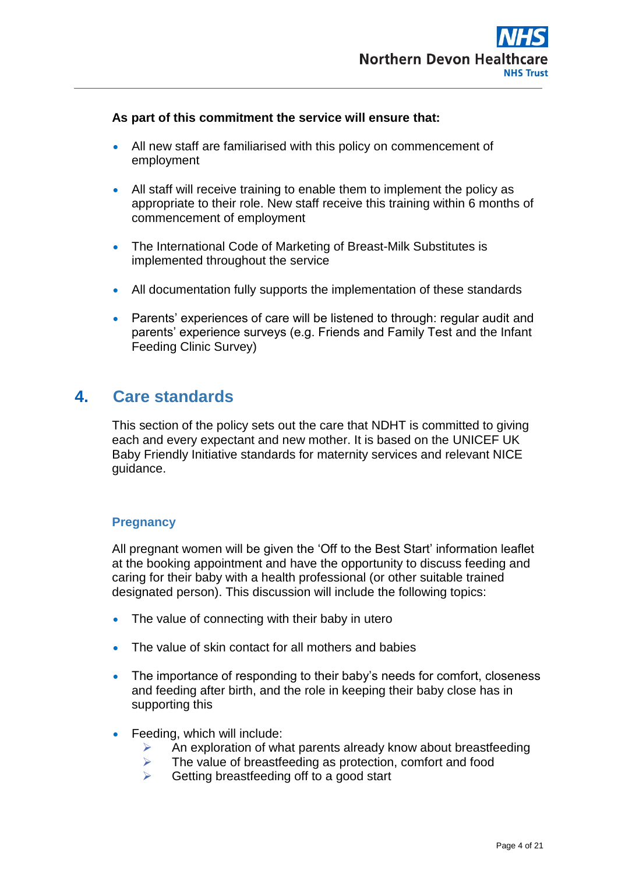

### **As part of this commitment the service will ensure that:**

- All new staff are familiarised with this policy on commencement of employment
- All staff will receive training to enable them to implement the policy as appropriate to their role. New staff receive this training within 6 months of commencement of employment
- The International Code of Marketing of Breast-Milk Substitutes is implemented throughout the service
- All documentation fully supports the implementation of these standards
- Parents' experiences of care will be listened to through: regular audit and parents' experience surveys (e.g. Friends and Family Test and the Infant Feeding Clinic Survey)

## **4. Care standards**

This section of the policy sets out the care that NDHT is committed to giving each and every expectant and new mother. It is based on the UNICEF UK Baby Friendly Initiative standards for maternity services and relevant NICE guidance.

### **Pregnancy**

All pregnant women will be given the 'Off to the Best Start' information leaflet at the booking appointment and have the opportunity to discuss feeding and caring for their baby with a health professional (or other suitable trained designated person). This discussion will include the following topics:

- The value of connecting with their baby in utero
- The value of skin contact for all mothers and babies
- The importance of responding to their baby's needs for comfort, closeness and feeding after birth, and the role in keeping their baby close has in supporting this
- Feeding, which will include:
	- $\triangleright$  An exploration of what parents already know about breastfeeding
	- $\triangleright$  The value of breastfeeding as protection, comfort and food
	- $\triangleright$  Getting breastfeeding off to a good start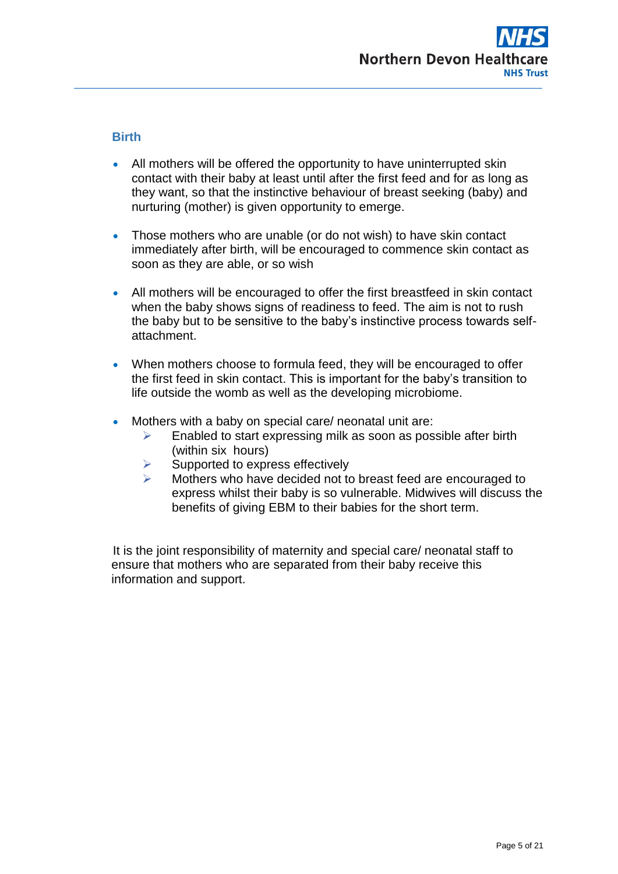

## **Birth**

- All mothers will be offered the opportunity to have uninterrupted skin contact with their baby at least until after the first feed and for as long as they want, so that the instinctive behaviour of breast seeking (baby) and nurturing (mother) is given opportunity to emerge.
- Those mothers who are unable (or do not wish) to have skin contact immediately after birth, will be encouraged to commence skin contact as soon as they are able, or so wish
- All mothers will be encouraged to offer the first breastfeed in skin contact when the baby shows signs of readiness to feed. The aim is not to rush the baby but to be sensitive to the baby's instinctive process towards selfattachment.
- When mothers choose to formula feed, they will be encouraged to offer the first feed in skin contact. This is important for the baby's transition to life outside the womb as well as the developing microbiome.
- Mothers with a baby on special care/ neonatal unit are:
	- $\triangleright$  Enabled to start expressing milk as soon as possible after birth (within six hours)
	- $\triangleright$  Supported to express effectively
	- Mothers who have decided not to breast feed are encouraged to express whilst their baby is so vulnerable. Midwives will discuss the benefits of giving EBM to their babies for the short term.

It is the joint responsibility of maternity and special care/ neonatal staff to ensure that mothers who are separated from their baby receive this information and support.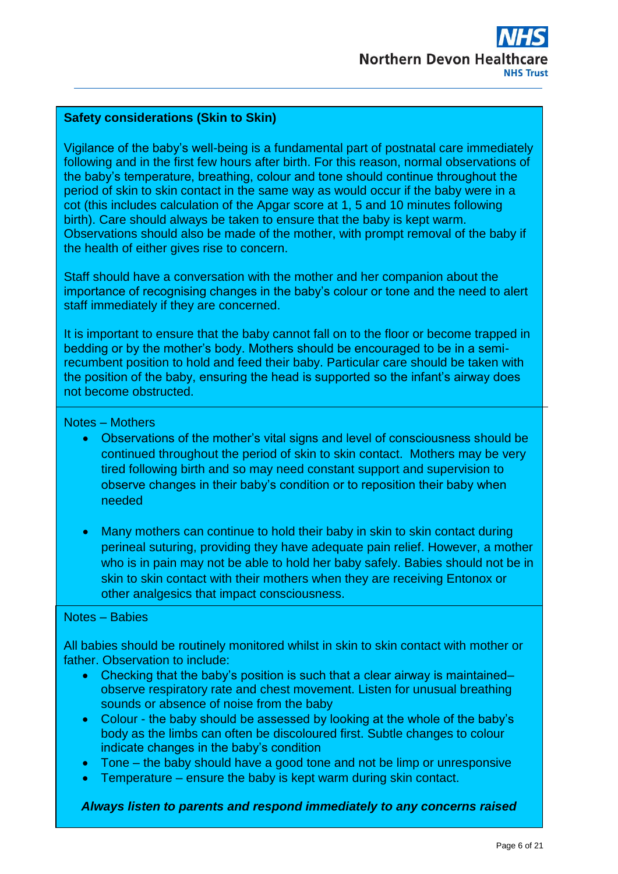### **Safety considerations (Skin to Skin)**

Vigilance of the baby's well-being is a fundamental part of postnatal care immediately following and in the first few hours after birth. For this reason, normal observations of the baby's temperature, breathing, colour and tone should continue throughout the period of skin to skin contact in the same way as would occur if the baby were in a cot (this includes calculation of the Apgar score at 1, 5 and 10 minutes following birth). Care should always be taken to ensure that the baby is kept warm. Observations should also be made of the mother, with prompt removal of the baby if the health of either gives rise to concern.

 Staff should have a conversation with the mother and her companion about the importance of recognising changes in the baby's colour or tone and the need to alert staff immediately if they are concerned.

It is important to ensure that the baby cannot fall on to the floor or become trapped in bedding or by the mother's body. Mothers should be encouraged to be in a semirecumbent position to hold and feed their baby. Particular care should be taken with the position of the baby, ensuring the head is supported so the infant's airway does not become obstructed.

### Notes – Mothers

- Observations of the mother's vital signs and level of consciousness should be continued throughout the period of skin to skin contact. Mothers may be very tired following birth and so may need constant support and supervision to observe changes in their baby's condition or to reposition their baby when needed
- Many mothers can continue to hold their baby in skin to skin contact during perineal suturing, providing they have adequate pain relief. However, a mother who is in pain may not be able to hold her baby safely. Babies should not be in skin to skin contact with their mothers when they are receiving Entonox or other analgesics that impact consciousness.

### Notes – Babies

All babies should be routinely monitored whilst in skin to skin contact with mother or father. Observation to include:

- Checking that the baby's position is such that a clear airway is maintained– observe respiratory rate and chest movement. Listen for unusual breathing sounds or absence of noise from the baby
- Colour the baby should be assessed by looking at the whole of the baby's body as the limbs can often be discoloured first. Subtle changes to colour indicate changes in the baby's condition
- Tone the baby should have a good tone and not be limp or unresponsive
- Temperature ensure the baby is kept warm during skin contact.

*Always listen to parents and respond immediately to any concerns raised*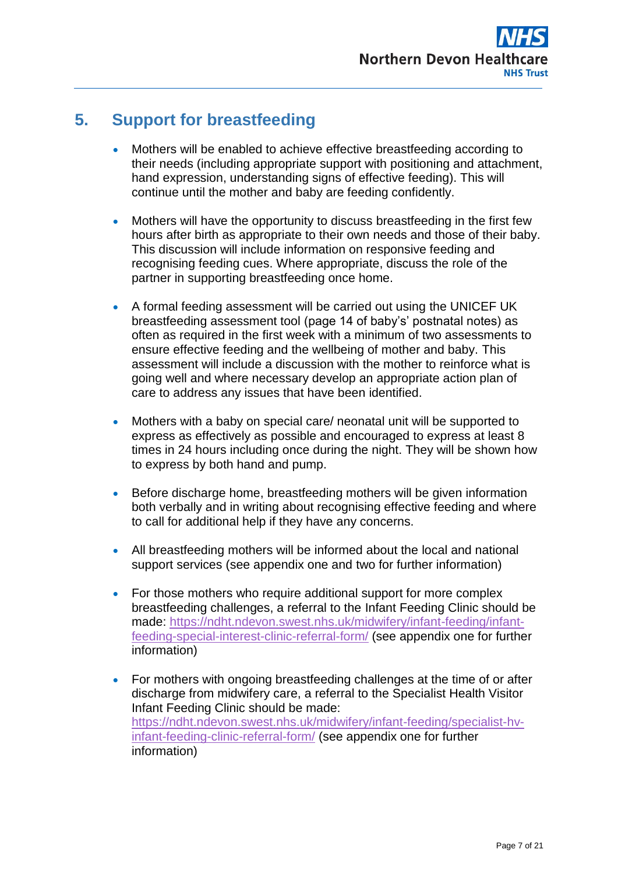

# **5. Support for breastfeeding**

- Mothers will be enabled to achieve effective breastfeeding according to their needs (including appropriate support with positioning and attachment, hand expression, understanding signs of effective feeding). This will continue until the mother and baby are feeding confidently.
- Mothers will have the opportunity to discuss breastfeeding in the first few hours after birth as appropriate to their own needs and those of their baby. This discussion will include information on responsive feeding and recognising feeding cues. Where appropriate, discuss the role of the partner in supporting breastfeeding once home.
- A formal feeding assessment will be carried out using the UNICEF UK breastfeeding assessment tool (page 14 of baby's' postnatal notes) as often as required in the first week with a minimum of two assessments to ensure effective feeding and the wellbeing of mother and baby. This assessment will include a discussion with the mother to reinforce what is going well and where necessary develop an appropriate action plan of care to address any issues that have been identified.
- Mothers with a baby on special care/ neonatal unit will be supported to express as effectively as possible and encouraged to express at least 8 times in 24 hours including once during the night. They will be shown how to express by both hand and pump.
- Before discharge home, breastfeeding mothers will be given information both verbally and in writing about recognising effective feeding and where to call for additional help if they have any concerns.
- All breastfeeding mothers will be informed about the local and national support services (see appendix one and two for further information)
- For those mothers who require additional support for more complex breastfeeding challenges, a referral to the Infant Feeding Clinic should be made: [https://ndht.ndevon.swest.nhs.uk/midwifery/infant-feeding/infant](https://ndht.ndevon.swest.nhs.uk/midwifery/infant-feeding/infant-feeding-special-interest-clinic-referral-form/)[feeding-special-interest-clinic-referral-form/](https://ndht.ndevon.swest.nhs.uk/midwifery/infant-feeding/infant-feeding-special-interest-clinic-referral-form/) (see appendix one for further information)
- For mothers with ongoing breastfeeding challenges at the time of or after discharge from midwifery care, a referral to the Specialist Health Visitor Infant Feeding Clinic should be made: [https://ndht.ndevon.swest.nhs.uk/midwifery/infant-feeding/specialist-hv](https://ndht.ndevon.swest.nhs.uk/midwifery/infant-feeding/specialist-hv-infant-feeding-clinic-referral-form/)[infant-feeding-clinic-referral-form/](https://ndht.ndevon.swest.nhs.uk/midwifery/infant-feeding/specialist-hv-infant-feeding-clinic-referral-form/) (see appendix one for further information)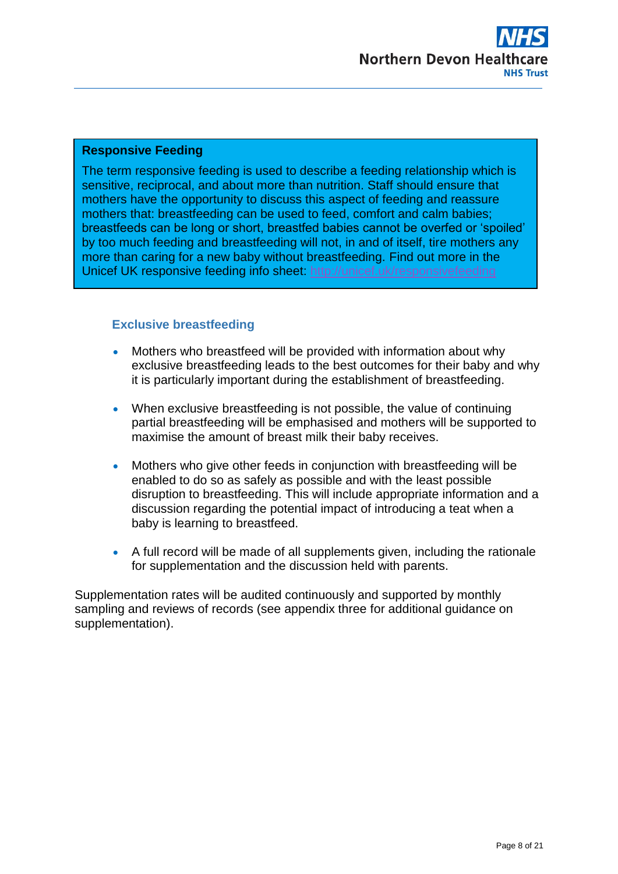

### **Responsive Feeding**

The term responsive feeding is used to describe a feeding relationship which is sensitive, reciprocal, and about more than nutrition. Staff should ensure that mothers have the opportunity to discuss this aspect of feeding and reassure mothers that: breastfeeding can be used to feed, comfort and calm babies; breastfeeds can be long or short, breastfed babies cannot be overfed or 'spoiled' by too much feeding and breastfeeding will not, in and of itself, tire mothers any more than caring for a new baby without breastfeeding. Find out more in the Unicef UK responsive feeding info sheet:<http://unicef.uk/responsivefeeding>

### <span id="page-7-0"></span>**Exclusive breastfeeding**

- Mothers who breastfeed will be provided with information about why exclusive breastfeeding leads to the best outcomes for their baby and why it is particularly important during the establishment of breastfeeding.
- When exclusive breastfeeding is not possible, the value of continuing partial breastfeeding will be emphasised and mothers will be supported to maximise the amount of breast milk their baby receives.
- Mothers who give other feeds in conjunction with breastfeeding will be enabled to do so as safely as possible and with the least possible disruption to breastfeeding. This will include appropriate information and a discussion regarding the potential impact of introducing a teat when a baby is learning to breastfeed.
- A full record will be made of all supplements given, including the rationale for supplementation and the discussion held with parents.

Supplementation rates will be audited continuously and supported by monthly sampling and reviews of records (see appendix three for additional guidance on supplementation).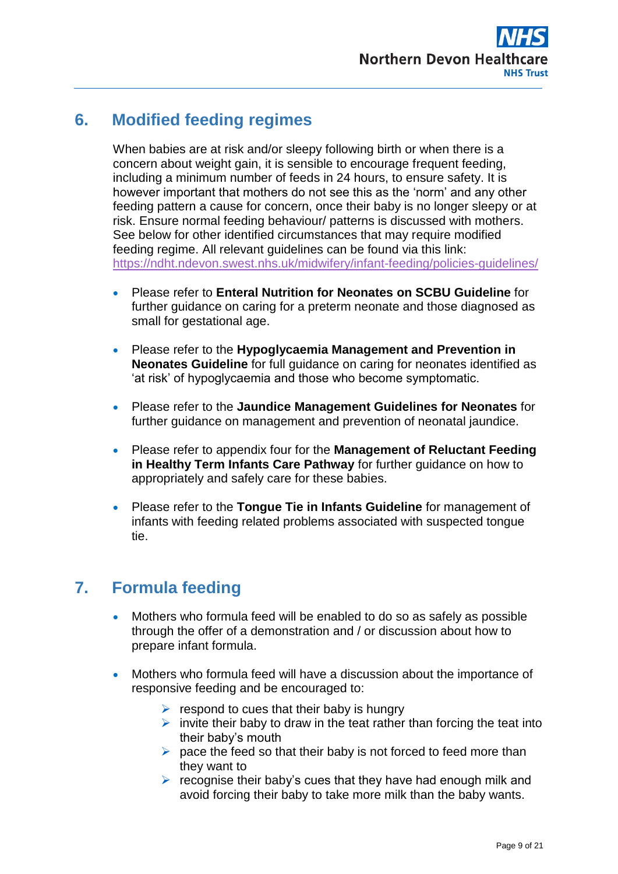

# **6. Modified feeding regimes**

When babies are at risk and/or sleepy following birth or when there is a concern about weight gain, it is sensible to encourage frequent feeding, including a minimum number of feeds in 24 hours, to ensure safety. It is however important that mothers do not see this as the 'norm' and any other feeding pattern a cause for concern, once their baby is no longer sleepy or at risk. Ensure normal feeding behaviour/ patterns is discussed with mothers. See below for other identified circumstances that may require modified feeding regime. All relevant guidelines can be found via this link: <https://ndht.ndevon.swest.nhs.uk/midwifery/infant-feeding/policies-guidelines/>

- Please refer to **Enteral Nutrition for Neonates on SCBU Guideline** for further guidance on caring for a preterm neonate and those diagnosed as small for gestational age.
- Please refer to the **Hypoglycaemia Management and Prevention in Neonates Guideline** for full guidance on caring for neonates identified as 'at risk' of hypoglycaemia and those who become symptomatic.
- Please refer to the **Jaundice Management Guidelines for Neonates** for further guidance on management and prevention of neonatal jaundice.
- Please refer to appendix four for the **Management of Reluctant Feeding in Healthy Term Infants Care Pathway** for further guidance on how to appropriately and safely care for these babies.
- Please refer to the **Tongue Tie in Infants Guideline** for management of infants with feeding related problems associated with suspected tongue tie.

# **7. Formula feeding**

- Mothers who formula feed will be enabled to do so as safely as possible through the offer of a demonstration and / or discussion about how to prepare infant formula.
- Mothers who formula feed will have a discussion about the importance of responsive feeding and be encouraged to:
	- $\triangleright$  respond to cues that their baby is hungry
	- $\triangleright$  invite their baby to draw in the teat rather than forcing the teat into their baby's mouth
	- $\triangleright$  pace the feed so that their baby is not forced to feed more than they want to
	- $\triangleright$  recognise their baby's cues that they have had enough milk and avoid forcing their baby to take more milk than the baby wants.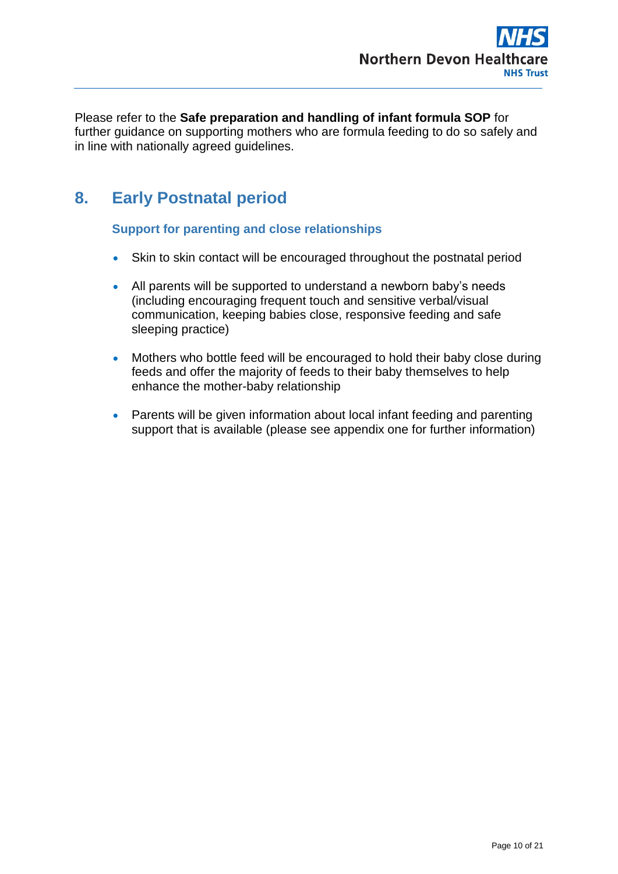Please refer to the **Safe preparation and handling of infant formula SOP** for further guidance on supporting mothers who are formula feeding to do so safely and in line with nationally agreed guidelines.

# **8. Early Postnatal period**

**Support for parenting and close relationships**

- Skin to skin contact will be encouraged throughout the postnatal period
- All parents will be supported to understand a newborn baby's needs (including encouraging frequent touch and sensitive verbal/visual communication, keeping babies close, responsive feeding and safe sleeping practice)
- Mothers who bottle feed will be encouraged to hold their baby close during feeds and offer the majority of feeds to their baby themselves to help enhance the mother-baby relationship
- Parents will be given information about local infant feeding and parenting support that is available (please see appendix one for further information)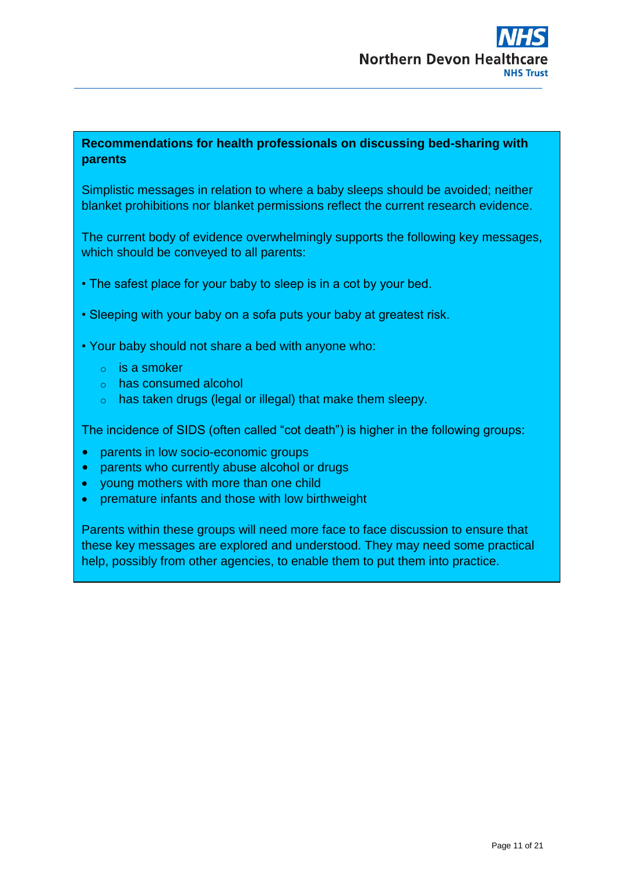## **Recommendations for health professionals on discussing bed-sharing with parents**

Simplistic messages in relation to where a baby sleeps should be avoided; neither blanket prohibitions nor blanket permissions reflect the current research evidence.

The current body of evidence overwhelmingly supports the following key messages, which should be conveyed to all parents:

- The safest place for your baby to sleep is in a cot by your bed.
- Sleeping with your baby on a sofa puts your baby at greatest risk.
- Your baby should not share a bed with anyone who:
	- $\circ$  is a smoker
	- o has consumed alcohol
	- o has taken drugs (legal or illegal) that make them sleepy.

The incidence of SIDS (often called "cot death") is higher in the following groups:

- parents in low socio-economic groups
- parents who currently abuse alcohol or drugs
- young mothers with more than one child
- premature infants and those with low birthweight

Parents within these groups will need more face to face discussion to ensure that these key messages are explored and understood. They may need some practical help, possibly from other agencies, to enable them to put them into practice.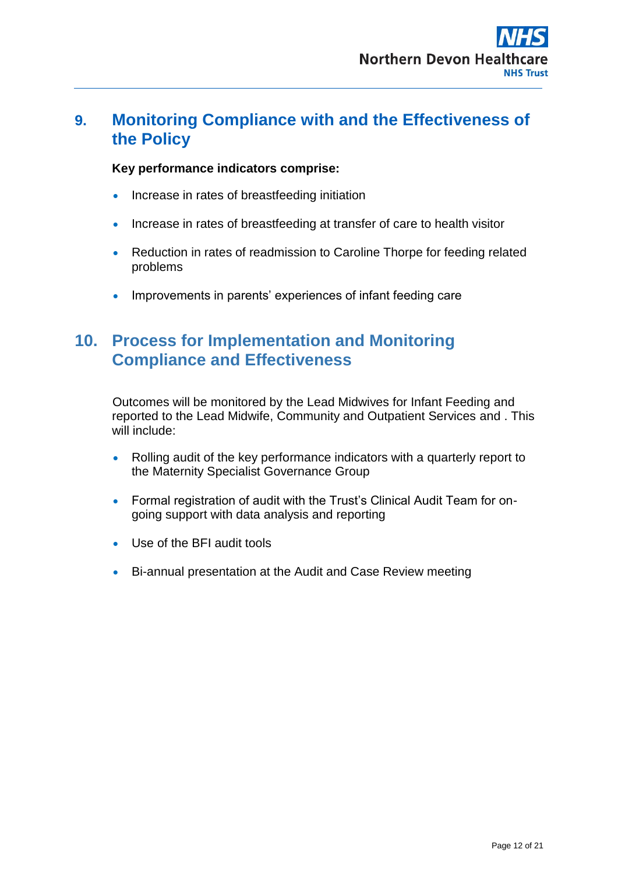## <span id="page-11-0"></span>**9. Monitoring Compliance with and the Effectiveness of the Policy**

## **Key performance indicators comprise:**

- Increase in rates of breastfeeding initiation
- Increase in rates of breastfeeding at transfer of care to health visitor
- Reduction in rates of readmission to Caroline Thorpe for feeding related problems
- Improvements in parents' experiences of infant feeding care

# **10. Process for Implementation and Monitoring Compliance and Effectiveness**

Outcomes will be monitored by the Lead Midwives for Infant Feeding and reported to the Lead Midwife, Community and Outpatient Services and . This will include:

- Rolling audit of the key performance indicators with a quarterly report to the Maternity Specialist Governance Group
- Formal registration of audit with the Trust's Clinical Audit Team for ongoing support with data analysis and reporting
- Use of the BFI audit tools
- Bi-annual presentation at the Audit and Case Review meeting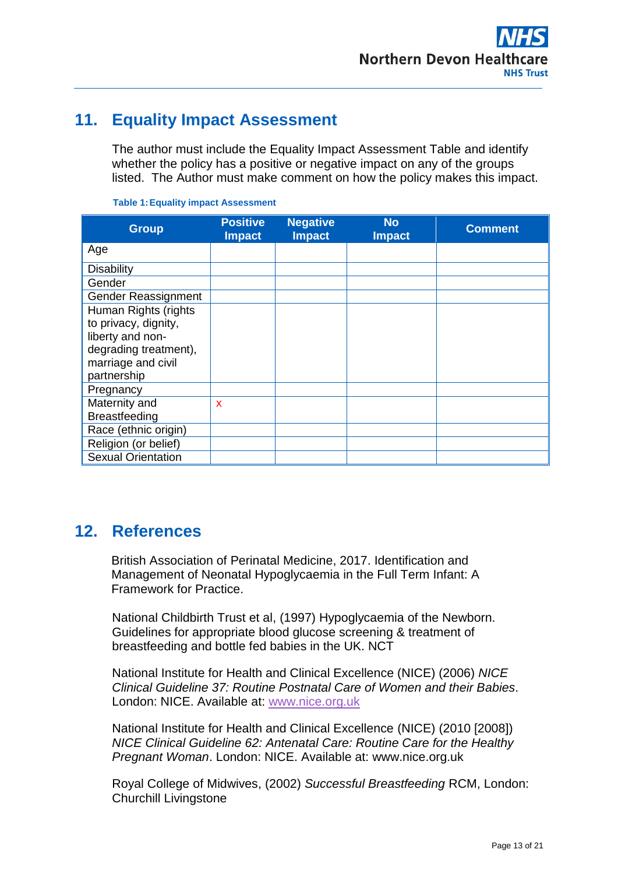

# <span id="page-12-0"></span>**11. Equality Impact Assessment**

The author must include the Equality Impact Assessment Table and identify whether the policy has a positive or negative impact on any of the groups listed. The Author must make comment on how the policy makes this impact.

| <b>Group</b>              | <b>Positive</b><br><b>Impact</b> | <b>Negative</b><br><b>Impact</b> | <b>No</b><br><b>Impact</b> | <b>Comment</b> |
|---------------------------|----------------------------------|----------------------------------|----------------------------|----------------|
| Age                       |                                  |                                  |                            |                |
| Disability                |                                  |                                  |                            |                |
| Gender                    |                                  |                                  |                            |                |
| Gender Reassignment       |                                  |                                  |                            |                |
| Human Rights (rights      |                                  |                                  |                            |                |
| to privacy, dignity,      |                                  |                                  |                            |                |
| liberty and non-          |                                  |                                  |                            |                |
| degrading treatment),     |                                  |                                  |                            |                |
| marriage and civil        |                                  |                                  |                            |                |
| partnership               |                                  |                                  |                            |                |
| Pregnancy                 |                                  |                                  |                            |                |
| Maternity and             | X                                |                                  |                            |                |
| <b>Breastfeeding</b>      |                                  |                                  |                            |                |
| Race (ethnic origin)      |                                  |                                  |                            |                |
| Religion (or belief)      |                                  |                                  |                            |                |
| <b>Sexual Orientation</b> |                                  |                                  |                            |                |

#### **Table 1:Equality impact Assessment**

## <span id="page-12-1"></span>**12. References**

British Association of Perinatal Medicine, 2017. Identification and Management of Neonatal Hypoglycaemia in the Full Term Infant: A Framework for Practice.

National Childbirth Trust et al, (1997) Hypoglycaemia of the Newborn. Guidelines for appropriate blood glucose screening & treatment of breastfeeding and bottle fed babies in the UK. NCT

National Institute for Health and Clinical Excellence (NICE) (2006) *NICE Clinical Guideline 37: Routine Postnatal Care of Women and their Babies*. London: NICE. Available at: [www.nice.org.uk](http://www.nice.org.uk/)

National Institute for Health and Clinical Excellence (NICE) (2010 [2008]) *NICE Clinical Guideline 62: Antenatal Care: Routine Care for the Healthy Pregnant Woman*. London: NICE. Available at: www.nice.org.uk

Royal College of Midwives, (2002) *Successful Breastfeeding* RCM, London: Churchill Livingstone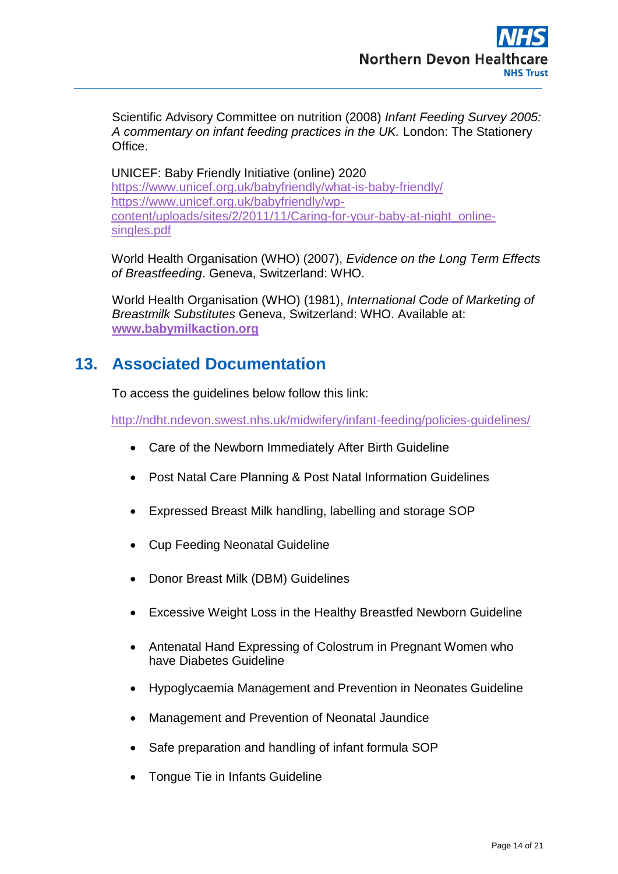Scientific Advisory Committee on nutrition (2008) *Infant Feeding Survey 2005: A commentary on infant feeding practices in the UK.* London: The Stationery **Office** 

UNICEF: Baby Friendly Initiative (online) 2020 <https://www.unicef.org.uk/babyfriendly/what-is-baby-friendly/> [https://www.unicef.org.uk/babyfriendly/wp](https://www.unicef.org.uk/babyfriendly/wp-content/uploads/sites/2/2011/11/Caring-for-your-baby-at-night_online-singles.pdf)[content/uploads/sites/2/2011/11/Caring-for-your-baby-at-night\\_online](https://www.unicef.org.uk/babyfriendly/wp-content/uploads/sites/2/2011/11/Caring-for-your-baby-at-night_online-singles.pdf)[singles.pdf](https://www.unicef.org.uk/babyfriendly/wp-content/uploads/sites/2/2011/11/Caring-for-your-baby-at-night_online-singles.pdf)

World Health Organisation (WHO) (2007), *Evidence on the Long Term Effects of Breastfeeding*. Geneva, Switzerland: WHO.

World Health Organisation (WHO) (1981), *International Code of Marketing of Breastmilk Substitutes* Geneva, Switzerland: WHO. Available at: **[www.babymilkaction.org](http://www.babymilkaction.org/)**

# <span id="page-13-0"></span>**13. Associated Documentation**

To access the guidelines below follow this link:

<http://ndht.ndevon.swest.nhs.uk/midwifery/infant-feeding/policies-guidelines/>

- [Care of the Newborn Immediately After Birth Guideline](http://ndht.ndevon.swest.nhs.uk/policies/wp-content/uploads/2013/09/Care-of-Newborn-immediately-after-birth-guidelines-V5.0-29Jan14.pdf)
- [Post Natal Care Planning & Post Natal Information Guidelines](http://ndht.ndevon.swest.nhs.uk/policies/wp-content/uploads/2013/06/Post-Natal-Care-Planning-Post-Natal-Information-Guideline-v4.2-05Aug14.pdf)
- [Expressed Breast Milk handling, labelling and storage SOP](http://ndht.ndevon.swest.nhs.uk/policies/wp-content/uploads/2015/11/Expressed-Breast-Milk-Handling-SOP-V2.1-WEB-VERSION-31Dec15.pdf)
- Cup Feeding Neonatal Guideline
- Donor Breast Milk (DBM) Guidelines
- Excessive Weight Loss in the Healthy Breastfed Newborn Guideline
- Antenatal Hand Expressing of Colostrum in Pregnant Women who [have Diabetes Guideline](http://ndht.ndevon.swest.nhs.uk/antenatal-hand-expressing-of-colostrum-in-pregnant-women-who-have-diabetes/)
- [Hypoglycaemia Management and Prevention in Neonates Guideline](file:///C:/Users/MedcraMi/AppData/Local/Microsoft/Windows/Temporary%20Internet%20Files/Content.IE5/93HFOYHV/Hypoglycaemia%20Management%20and%20Prevention%20in%20Neonates%20Guideline.pdf)
- Management and Prevention of Neonatal Jaundice
- [Safe preparation and handling of infant formula SOP](file://///NDS.INTERNAL/PUBLIC/PRACTICE%20DEVELOPMENT/BFI%20Infant%20Feeding/Policies%20and%20Guidelines/Safe%20preparation%20and%20handling%20of%20infant%20formula%20SOP.docx)
- Tongue Tie in Infants Guideline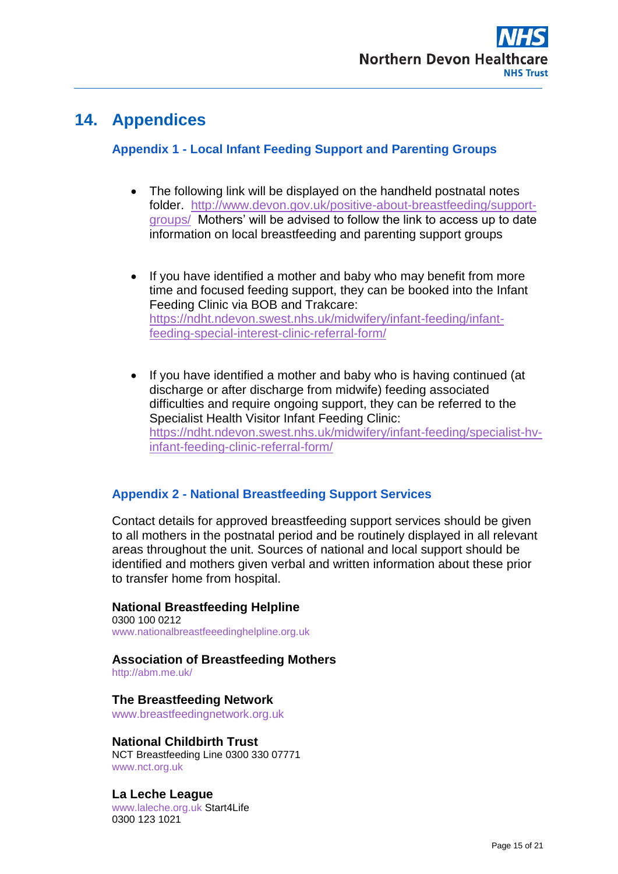# **14. Appendices**

## **Appendix 1 - Local Infant Feeding Support and Parenting Groups**

- The following link will be displayed on the handheld postnatal notes folder. [http://www.devon.gov.uk/positive-about-breastfeeding/support](http://www.devon.gov.uk/positive-about-breastfeeding/support-groups/)[groups/](http://www.devon.gov.uk/positive-about-breastfeeding/support-groups/) Mothers' will be advised to follow the link to access up to date information on local breastfeeding and parenting support groups
- If you have identified a mother and baby who may benefit from more time and focused feeding support, they can be booked into the Infant Feeding Clinic via BOB and Trakcare: [https://ndht.ndevon.swest.nhs.uk/midwifery/infant-feeding/infant](https://ndht.ndevon.swest.nhs.uk/midwifery/infant-feeding/infant-feeding-special-interest-clinic-referral-form/)[feeding-special-interest-clinic-referral-form/](https://ndht.ndevon.swest.nhs.uk/midwifery/infant-feeding/infant-feeding-special-interest-clinic-referral-form/)
- If you have identified a mother and baby who is having continued (at discharge or after discharge from midwife) feeding associated difficulties and require ongoing support, they can be referred to the Specialist Health Visitor Infant Feeding Clinic: [https://ndht.ndevon.swest.nhs.uk/midwifery/infant-feeding/specialist-hv](https://ndht.ndevon.swest.nhs.uk/midwifery/infant-feeding/specialist-hv-infant-feeding-clinic-referral-form/)[infant-feeding-clinic-referral-form/](https://ndht.ndevon.swest.nhs.uk/midwifery/infant-feeding/specialist-hv-infant-feeding-clinic-referral-form/)

## **Appendix 2 - National Breastfeeding Support Services**

Contact details for approved breastfeeding support services should be given to all mothers in the postnatal period and be routinely displayed in all relevant areas throughout the unit. Sources of national and local support should be identified and mothers given verbal and written information about these prior to transfer home from hospital.

## **National Breastfeeding Helpline**

0300 100 0212 www.nationalbreastfeeedinghelpline.org.uk

### **Association of Breastfeeding Mothers**

http://abm.me.uk/

### **The Breastfeeding Network**

www.breastfeedingnetwork.org.uk

### **National Childbirth Trust**

NCT Breastfeeding Line 0300 330 07771 www.nct.org.uk

### **La Leche League**

www.laleche.org.uk Start4Life 0300 123 1021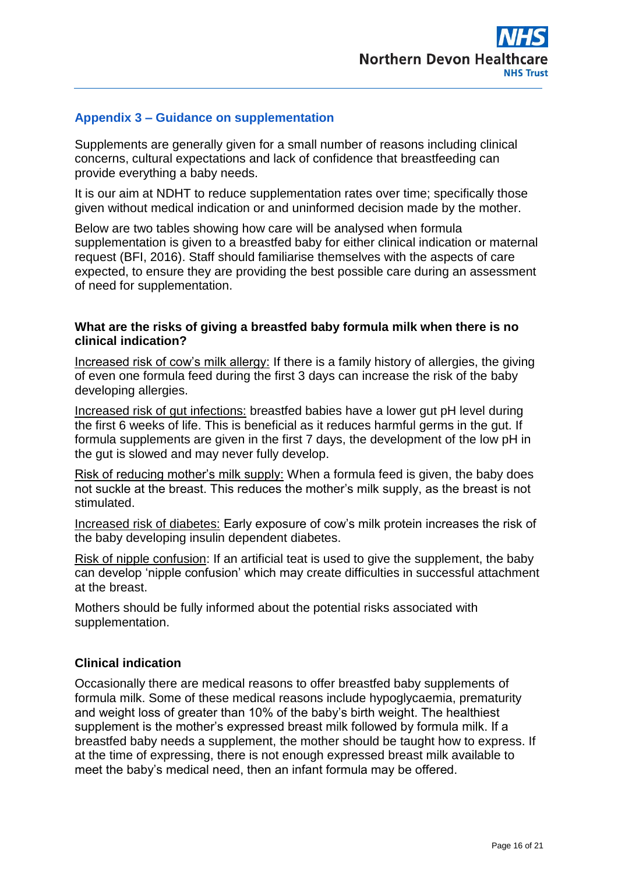

### **Appendix 3 – Guidance on supplementation**

Supplements are generally given for a small number of reasons including clinical concerns, cultural expectations and lack of confidence that breastfeeding can provide everything a baby needs.

It is our aim at NDHT to reduce supplementation rates over time; specifically those given without medical indication or and uninformed decision made by the mother.

Below are two tables showing how care will be analysed when formula supplementation is given to a breastfed baby for either clinical indication or maternal request (BFI, 2016). Staff should familiarise themselves with the aspects of care expected, to ensure they are providing the best possible care during an assessment of need for supplementation.

### **What are the risks of giving a breastfed baby formula milk when there is no clinical indication?**

Increased risk of cow's milk allergy: If there is a family history of allergies, the giving of even one formula feed during the first 3 days can increase the risk of the baby developing allergies.

Increased risk of gut infections: breastfed babies have a lower gut pH level during the first 6 weeks of life. This is beneficial as it reduces harmful germs in the gut. If formula supplements are given in the first 7 days, the development of the low pH in the gut is slowed and may never fully develop.

Risk of reducing mother's milk supply: When a formula feed is given, the baby does not suckle at the breast. This reduces the mother's milk supply, as the breast is not stimulated.

Increased risk of diabetes: Early exposure of cow's milk protein increases the risk of the baby developing insulin dependent diabetes.

Risk of nipple confusion: If an artificial teat is used to give the supplement, the baby can develop 'nipple confusion' which may create difficulties in successful attachment at the breast.

Mothers should be fully informed about the potential risks associated with supplementation.

### **Clinical indication**

Occasionally there are medical reasons to offer breastfed baby supplements of formula milk. Some of these medical reasons include hypoglycaemia, prematurity and weight loss of greater than 10% of the baby's birth weight. The healthiest supplement is the mother's expressed breast milk followed by formula milk. If a breastfed baby needs a supplement, the mother should be taught how to express. If at the time of expressing, there is not enough expressed breast milk available to meet the baby's medical need, then an infant formula may be offered.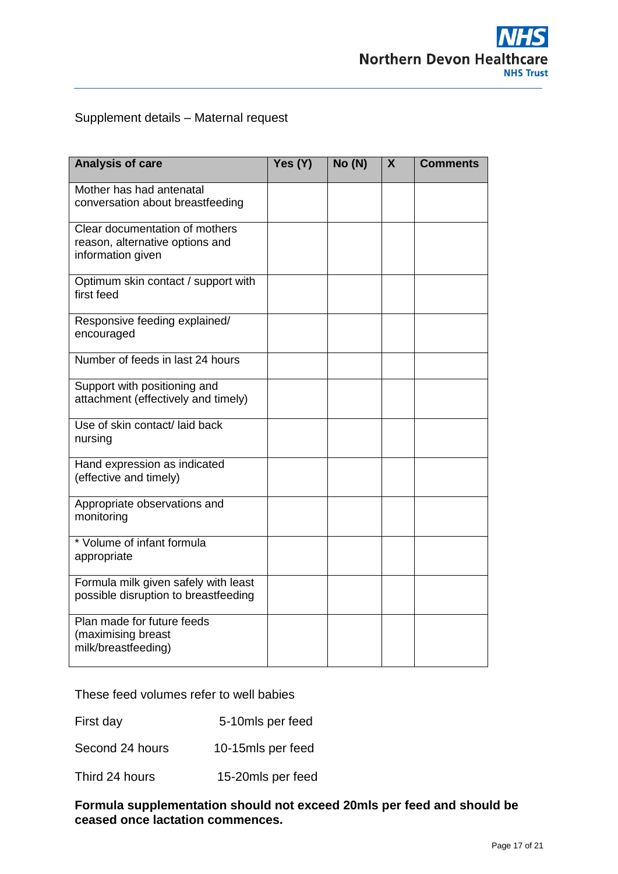

## Supplement details – Maternal request

| <b>Analysis of care</b>                                                                | Yes (Y) | No(N) | X | <b>Comments</b> |
|----------------------------------------------------------------------------------------|---------|-------|---|-----------------|
| Mother has had antenatal<br>conversation about breastfeeding                           |         |       |   |                 |
| Clear documentation of mothers<br>reason, alternative options and<br>information given |         |       |   |                 |
| Optimum skin contact / support with<br>first feed                                      |         |       |   |                 |
| Responsive feeding explained/<br>encouraged                                            |         |       |   |                 |
| Number of feeds in last 24 hours                                                       |         |       |   |                 |
| Support with positioning and<br>attachment (effectively and timely)                    |         |       |   |                 |
| Use of skin contact/laid back<br>nursing                                               |         |       |   |                 |
| Hand expression as indicated<br>(effective and timely)                                 |         |       |   |                 |
| Appropriate observations and<br>monitoring                                             |         |       |   |                 |
| * Volume of infant formula<br>appropriate                                              |         |       |   |                 |
| Formula milk given safely with least<br>possible disruption to breastfeeding           |         |       |   |                 |
| Plan made for future feeds<br>(maximising breast<br>milk/breastfeeding)                |         |       |   |                 |

These feed volumes refer to well babies

First day 5-10mls per feed

Second 24 hours 10-15mls per feed

Third 24 hours 15-20mls per feed

**Formula supplementation should not exceed 20mls per feed and should be ceased once lactation commences.**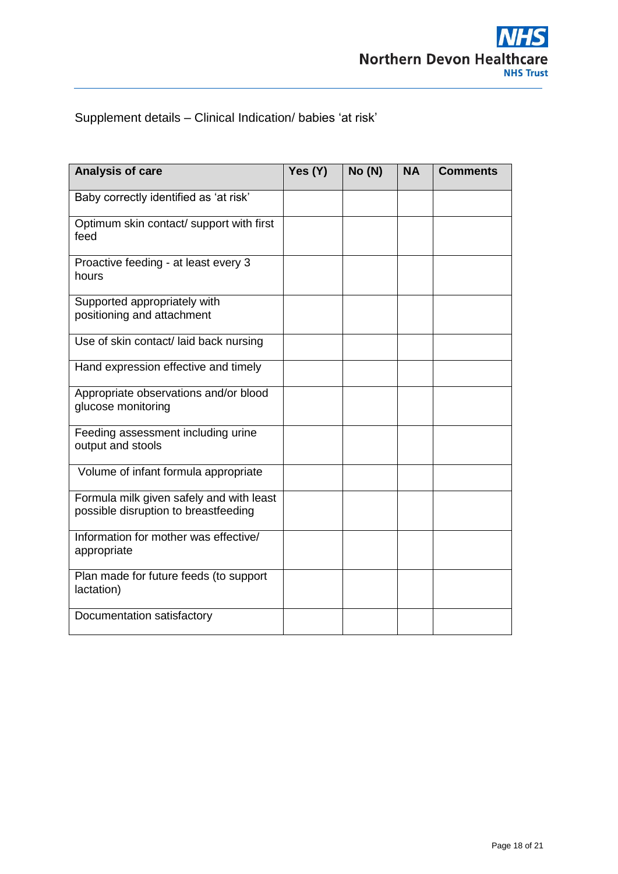## Supplement details – Clinical Indication/ babies 'at risk'

| Analysis of care                                                                 | Yes (Y) | No(N) | <b>NA</b> | <b>Comments</b> |
|----------------------------------------------------------------------------------|---------|-------|-----------|-----------------|
| Baby correctly identified as 'at risk'                                           |         |       |           |                 |
| Optimum skin contact/ support with first<br>feed                                 |         |       |           |                 |
| Proactive feeding - at least every 3<br>hours                                    |         |       |           |                 |
| Supported appropriately with<br>positioning and attachment                       |         |       |           |                 |
| Use of skin contact/ laid back nursing                                           |         |       |           |                 |
| Hand expression effective and timely                                             |         |       |           |                 |
| Appropriate observations and/or blood<br>glucose monitoring                      |         |       |           |                 |
| Feeding assessment including urine<br>output and stools                          |         |       |           |                 |
| Volume of infant formula appropriate                                             |         |       |           |                 |
| Formula milk given safely and with least<br>possible disruption to breastfeeding |         |       |           |                 |
| Information for mother was effective/<br>appropriate                             |         |       |           |                 |
| Plan made for future feeds (to support<br>lactation)                             |         |       |           |                 |
| Documentation satisfactory                                                       |         |       |           |                 |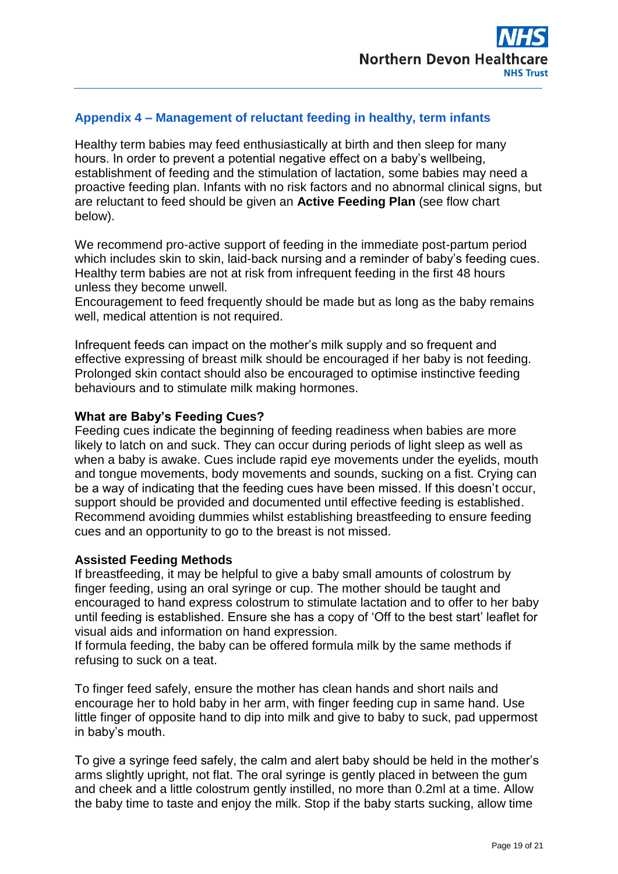## **Appendix 4 – Management of reluctant feeding in healthy, term infants**

Healthy term babies may feed enthusiastically at birth and then sleep for many hours. In order to prevent a potential negative effect on a baby's wellbeing, establishment of feeding and the stimulation of lactation, some babies may need a proactive feeding plan. Infants with no risk factors and no abnormal clinical signs, but are reluctant to feed should be given an **Active Feeding Plan** (see flow chart below).

We recommend pro-active support of feeding in the immediate post-partum period which includes skin to skin, laid-back nursing and a reminder of baby's feeding cues. Healthy term babies are not at risk from infrequent feeding in the first 48 hours unless they become unwell.

Encouragement to feed frequently should be made but as long as the baby remains well, medical attention is not required.

Infrequent feeds can impact on the mother's milk supply and so frequent and effective expressing of breast milk should be encouraged if her baby is not feeding. Prolonged skin contact should also be encouraged to optimise instinctive feeding behaviours and to stimulate milk making hormones.

### **What are Baby's Feeding Cues?**

Feeding cues indicate the beginning of feeding readiness when babies are more likely to latch on and suck. They can occur during periods of light sleep as well as when a baby is awake. Cues include rapid eye movements under the eyelids, mouth and tongue movements, body movements and sounds, sucking on a fist. Crying can be a way of indicating that the feeding cues have been missed. If this doesn't occur, support should be provided and documented until effective feeding is established. Recommend avoiding dummies whilst establishing breastfeeding to ensure feeding cues and an opportunity to go to the breast is not missed.

### **Assisted Feeding Methods**

If breastfeeding, it may be helpful to give a baby small amounts of colostrum by finger feeding, using an oral syringe or cup. The mother should be taught and encouraged to hand express colostrum to stimulate lactation and to offer to her baby until feeding is established. Ensure she has a copy of 'Off to the best start' leaflet for visual aids and information on hand expression.

If formula feeding, the baby can be offered formula milk by the same methods if refusing to suck on a teat.

To finger feed safely, ensure the mother has clean hands and short nails and encourage her to hold baby in her arm, with finger feeding cup in same hand. Use little finger of opposite hand to dip into milk and give to baby to suck, pad uppermost in baby's mouth.

To give a syringe feed safely, the calm and alert baby should be held in the mother's arms slightly upright, not flat. The oral syringe is gently placed in between the gum and cheek and a little colostrum gently instilled, no more than 0.2ml at a time. Allow the baby time to taste and enjoy the milk. Stop if the baby starts sucking, allow time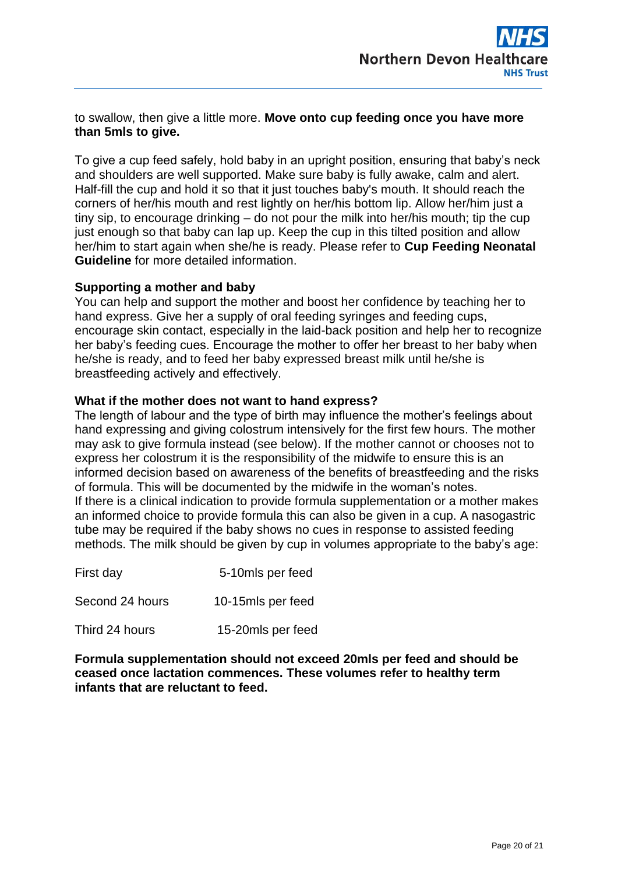### to swallow, then give a little more. **Move onto cup feeding once you have more than 5mls to give.**

To give a cup feed safely, hold baby in an upright position, ensuring that baby's neck and shoulders are well supported. Make sure baby is fully awake, calm and alert. Half-fill the cup and hold it so that it just touches baby's mouth. It should reach the corners of her/his mouth and rest lightly on her/his bottom lip. Allow her/him just a tiny sip, to encourage drinking – do not pour the milk into her/his mouth; tip the cup just enough so that baby can lap up. Keep the cup in this tilted position and allow her/him to start again when she/he is ready. Please refer to **Cup Feeding Neonatal Guideline** for more detailed information.

### **Supporting a mother and baby**

You can help and support the mother and boost her confidence by teaching her to hand express. Give her a supply of oral feeding syringes and feeding cups, encourage skin contact, especially in the laid-back position and help her to recognize her baby's feeding cues. Encourage the mother to offer her breast to her baby when he/she is ready, and to feed her baby expressed breast milk until he/she is breastfeeding actively and effectively.

### **What if the mother does not want to hand express?**

The length of labour and the type of birth may influence the mother's feelings about hand expressing and giving colostrum intensively for the first few hours. The mother may ask to give formula instead (see below). If the mother cannot or chooses not to express her colostrum it is the responsibility of the midwife to ensure this is an informed decision based on awareness of the benefits of breastfeeding and the risks of formula. This will be documented by the midwife in the woman's notes. If there is a clinical indication to provide formula supplementation or a mother makes an informed choice to provide formula this can also be given in a cup. A nasogastric tube may be required if the baby shows no cues in response to assisted feeding methods. The milk should be given by cup in volumes appropriate to the baby's age:

| First day       | 5-10mls per feed  |
|-----------------|-------------------|
| Second 24 hours | 10-15mls per feed |
| Third 24 hours  | 15-20mls per feed |

**Formula supplementation should not exceed 20mls per feed and should be ceased once lactation commences. These volumes refer to healthy term infants that are reluctant to feed.**